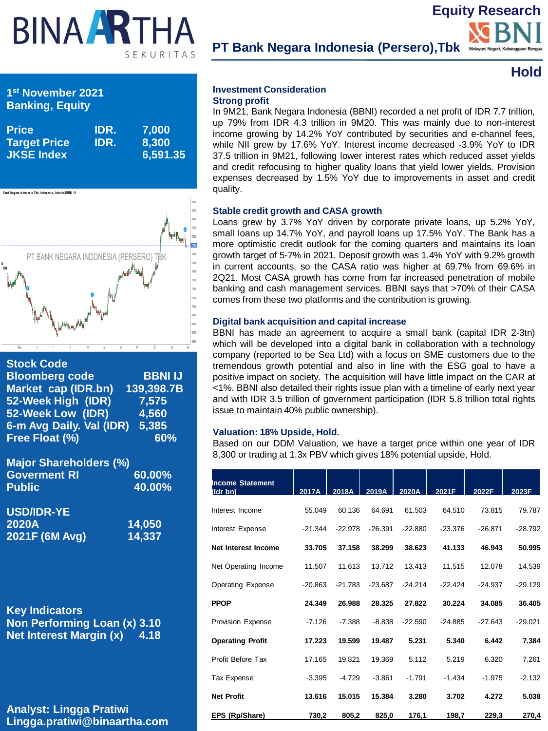# BINAART SEKURITAS

**PT Bank Negara Indonesia (Persero),Tbk**

### **Hold**

**Equity Research**

#### **Investment Consideration Strong profit**

In 9M21, Bank Negara Indonesia (BBNI) recorded a net profit of IDR 7.7 trillion, up 79% from IDR 4.3 trillion in 9M20. This was mainly due to non-interest income growing by 14.2% YoY contributed by securities and e-channel fees, while NII grew by 17.6% YoY. Interest income decreased -3.9% YoY to IDR 37.5 trillion in 9M21, following lower interest rates which reduced asset yields and credit refocusing to higher quality loans that yield lower yields. Provision expenses decreased by 1.5% YoY due to improvements in asset and credit quality.

#### **Stable credit growth and CASA growth**

Loans grew by 3.7% YoY driven by corporate private loans, up 5.2% YoY, small loans up 14.7% YoY, and payroll loans up 17.5% YoY. The Bank has a more optimistic credit outlook for the coming quarters and maintains its loan growth target of 5-7% in 2021. Deposit growth was 1.4% YoY with 9.2% growth in current accounts, so the CASA ratio was higher at 69.7% from 69.6% in 2Q21. Most CASA growth has come from far increased penetration of mobile banking and cash management services. BBNI says that >70% of their CASA comes from these two platforms and the contribution is growing.

#### **Digital bank acquisition and capital increase**

BBNI has made an agreement to acquire a small bank (capital IDR 2-3tn) which will be developed into a digital bank in collaboration with a technology company (reported to be Sea Ltd) with a focus on SME customers due to the tremendous growth potential and also in line with the ESG goal to have a positive impact on society. The acquisition will have little impact on the CAR at <1%. BBNI also detailed their rights issue plan with a timeline of early next year and with IDR 3.5 trillion of government participation (IDR 5.8 trillion total rights issue to maintain 40% public ownership).

#### **Valuation: 18% Upside, Hold.**

Based on our DDM Valuation, we have a target price within one year of IDR 8,300 or trading at 1.3x PBV which gives 18% potential upside, Hold.

| <b>Income Statement</b><br>(Idr bn) | 2017A     | 2018A     | 2019A     | 2020A     | 2021F     | 2022F     | 2023F     |
|-------------------------------------|-----------|-----------|-----------|-----------|-----------|-----------|-----------|
| Interest Income                     | 55.049    | 60.136    | 64.691    | 61.503    | 64.510    | 73.815    | 79.787    |
| Interest Expense                    | $-21.344$ | $-22.978$ | $-26.391$ | $-22.880$ | $-23.376$ | $-26.871$ | $-28.792$ |
| Net Interest Income                 | 33.705    | 37.158    | 38.299    | 38.623    | 41.133    | 46.943    | 50.995    |
| Net Operating Income                | 11.507    | 11.613    | 13.712    | 13.413    | 11.515    | 12.078    | 14.539    |
| <b>Operating Expense</b>            | $-20.863$ | $-21.783$ | $-23.687$ | $-24.214$ | $-22.424$ | $-24.937$ | $-29.129$ |
| <b>PPOP</b>                         | 24.349    | 26.988    | 28.325    | 27.822    | 30.224    | 34.085    | 36.405    |
| <b>Provision Expense</b>            | $-7.126$  | $-7.388$  | $-8.838$  | $-22.590$ | $-24.885$ | $-27.643$ | $-29.021$ |
| <b>Operating Profit</b>             | 17.223    | 19.599    | 19.487    | 5.231     | 5.340     | 6.442     | 7.384     |
| Profit Before Tax                   | 17.165    | 19.821    | 19.369    | 5.112     | 5.219     | 6.320     | 7.261     |
| Tax Expense                         | $-3.395$  | $-4.729$  | $-3.861$  | $-1.791$  | $-1.434$  | $-1.975$  | $-2.132$  |
| <b>Net Profit</b>                   | 13.616    | 15.015    | 15.384    | 3.280     | 3.702     | 4.272     | 5.038     |
| EPS (Rp/Share)                      | 730,2     | 805,2     | 825,0     | 176,1     | 198,7     | 229,3     | 270,4     |

#### **1 st November 2021 Banking, Equity**

| <b>Price</b><br><b>Target Price</b><br><b>JKSE Index</b> | IDR.<br>IDR. | 7,000<br>8,300<br>6,591.35 |
|----------------------------------------------------------|--------------|----------------------------|
|                                                          |              |                            |



#### **Stock Code Bloomberg code BBNI IJ Market cap (IDR.bn) 139,398.7B 52-Week High (IDR) 7,575 52-Week Low (IDR) 4,560 6-m Avg Daily. Val (IDR) 5,385 Free Float (%) 60%**

| <b>Major Shareholders (%)</b> |        |
|-------------------------------|--------|
| <b>Goverment RI</b>           | 60.00% |
| <b>Public</b>                 | 40.00% |

| USD/IDR-YE     |        |
|----------------|--------|
| <b>2020A</b>   | 14,050 |
| 2021F (6M Avg) | 14,337 |

**Key Indicators Non Performing Loan (x) 3.10 Net Interest Margin (x) 4.18** 

**Analyst: Lingga Pratiwi Lingga.pratiwi@binaartha.com**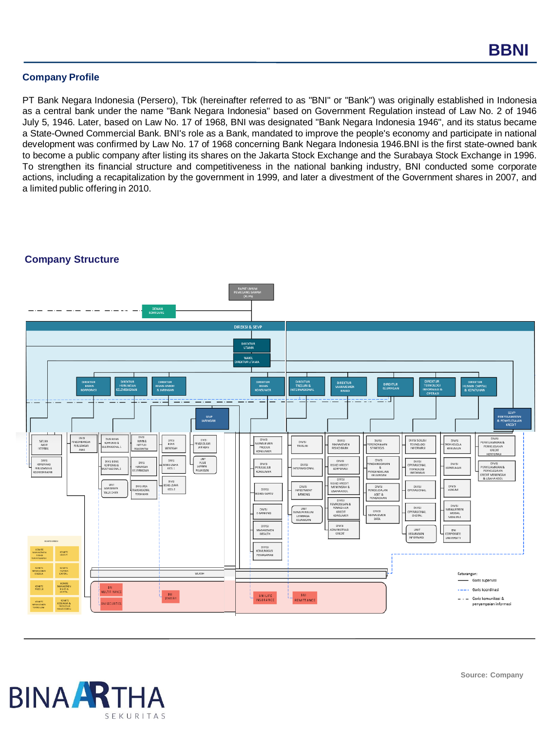#### **Company Profile**

PT Bank Negara Indonesia (Persero), Tbk (hereinafter referred to as "BNI" or "Bank") was originally established in Indonesia as a central bank under the name "Bank Negara Indonesia" based on Government Regulation instead of Law No. 2 of 1946 July 5, 1946. Later, based on Law No. 17 of 1968, BNI was designated "Bank Negara Indonesia 1946", and its status became a State-Owned Commercial Bank. BNI's role as a Bank, mandated to improve the people's economy and participate in national development was confirmed by Law No. 17 of 1968 concerning Bank Negara Indonesia 1946.BNI is the first state-owned bank to become a public company after listing its shares on the Jakarta Stock Exchange and the Surabaya Stock Exchange in 1996. To strengthen its financial structure and competitiveness in the national banking industry, BNI conducted some corporate actions, including a recapitalization by the government in 1999, and later a divestment of the Government shares in 2007, and a limited public offering in 2010.



#### **Company Structure**

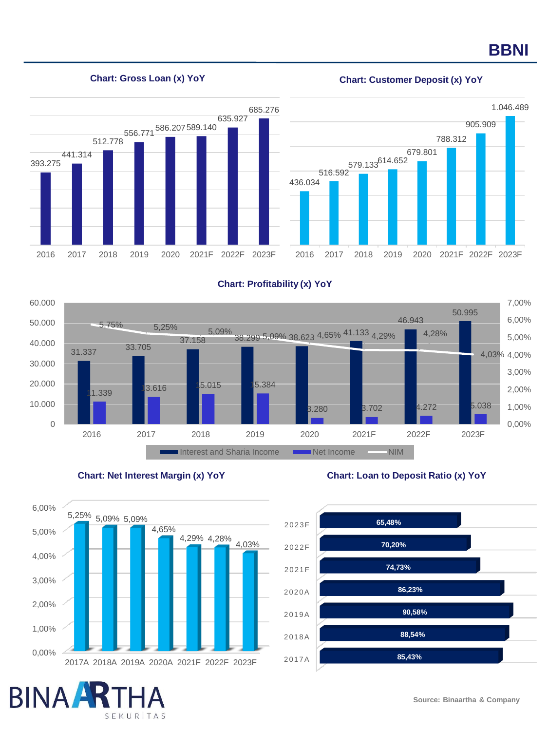## **BBNI**

#### **Chart: Gross Loan (x) YoY Chart: Customer Deposit (x) YoY**





#### **Chart: Profitability (x) YoY**







SEKURITAS

**BINA** 

#### **Chart: Net Interest Margin (x) YoY Chart: Loan to Deposit Ratio (x) YoY**

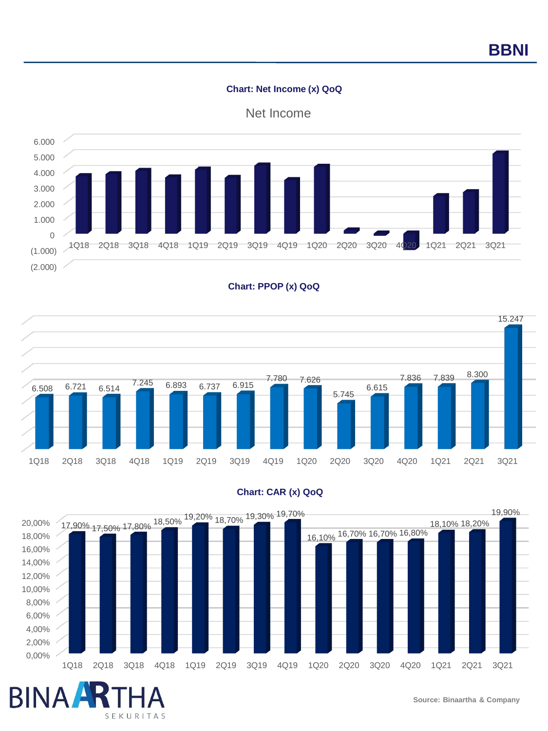#### **Chart: Net Income (x) QoQ**











**BINA** 

SEKURITAS

#### **Chart: CAR (x) QoQ**

**Source: Binaartha & Company**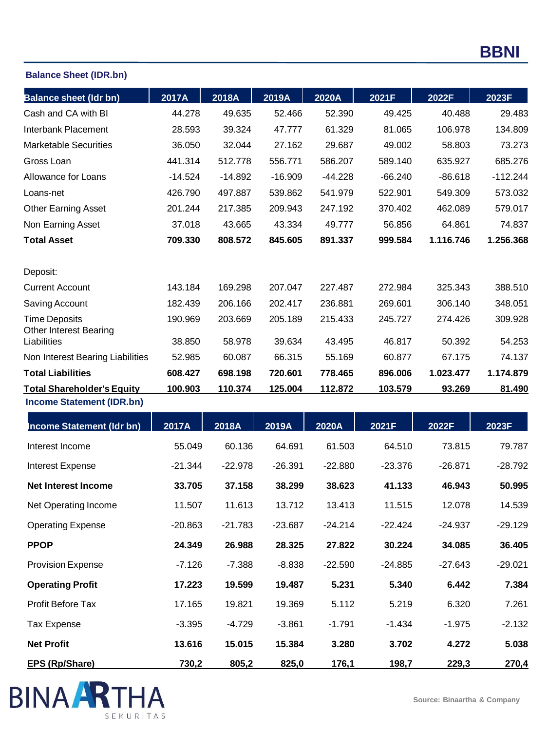### **Balance Sheet (IDR.bn)**

| <b>Balance sheet (Idr bn)</b>                         | 2017A     | 2018A     | 2019A     | 2020A     | 2021F     | 2022F     | 2023F      |
|-------------------------------------------------------|-----------|-----------|-----------|-----------|-----------|-----------|------------|
| Cash and CA with BI                                   | 44.278    | 49.635    | 52.466    | 52.390    | 49.425    | 40.488    | 29.483     |
| Interbank Placement                                   | 28.593    | 39.324    | 47.777    | 61.329    | 81.065    | 106.978   | 134.809    |
| <b>Marketable Securities</b>                          | 36.050    | 32.044    | 27.162    | 29.687    | 49.002    | 58.803    | 73.273     |
| Gross Loan                                            | 441.314   | 512.778   | 556.771   | 586.207   | 589.140   | 635.927   | 685.276    |
| Allowance for Loans                                   | $-14.524$ | $-14.892$ | $-16.909$ | $-44.228$ | $-66.240$ | $-86.618$ | $-112.244$ |
| Loans-net                                             | 426.790   | 497.887   | 539.862   | 541.979   | 522.901   | 549.309   | 573.032    |
| <b>Other Earning Asset</b>                            | 201.244   | 217.385   | 209.943   | 247.192   | 370.402   | 462.089   | 579.017    |
| Non Earning Asset                                     | 37.018    | 43.665    | 43.334    | 49.777    | 56.856    | 64.861    | 74.837     |
| <b>Total Asset</b>                                    | 709.330   | 808.572   | 845.605   | 891.337   | 999.584   | 1.116.746 | 1.256.368  |
| Deposit:                                              |           |           |           |           |           |           |            |
| <b>Current Account</b>                                | 143.184   | 169.298   | 207.047   | 227.487   | 272.984   | 325.343   | 388.510    |
| Saving Account                                        | 182.439   | 206.166   | 202.417   | 236.881   | 269.601   | 306.140   | 348.051    |
| <b>Time Deposits</b><br><b>Other Interest Bearing</b> | 190.969   | 203.669   | 205.189   | 215.433   | 245.727   | 274.426   | 309.928    |
| Liabilities                                           | 38.850    | 58.978    | 39.634    | 43.495    | 46.817    | 50.392    | 54.253     |
| Non Interest Bearing Liabilities                      | 52.985    | 60.087    | 66.315    | 55.169    | 60.877    | 67.175    | 74.137     |
| <b>Total Liabilities</b>                              | 608.427   | 698.198   | 720.601   | 778.465   | 896.006   | 1.023.477 | 1.174.879  |
| <b>Total Shareholder's Equity</b>                     | 100.903   | 110.374   | 125.004   | 112.872   | 103.579   | 93.269    | 81.490     |
| <b>Income Statement (IDR.bn)</b>                      |           |           |           |           |           |           |            |
| <b>Income Statement (Idr bn)</b>                      | 2017A     | 2018A     | 2019A     | 2020A     | 2021F     | 2022F     | 2023F      |
| Interest Income                                       | 55.049    | 60.136    | 64.691    | 61.503    | 64.510    | 73.815    | 79.787     |
| <b>Interest Expense</b>                               | $-21.344$ | $-22.978$ | $-26.391$ | $-22.880$ | $-23.376$ | $-26.871$ | $-28.792$  |
| <b>Net Interest Income</b>                            | 33.705    | 37.158    | 38.299    | 38.623    | 41.133    | 46.943    | 50.995     |
| Net Operating Income                                  | 11.507    | 11.613    | 13.712    | 13.413    | 11.515    | 12.078    | 14.539     |
| <b>Operating Expense</b>                              | $-20.863$ | $-21.783$ | $-23.687$ | $-24.214$ | $-22.424$ | $-24.937$ | $-29.129$  |
| <b>PPOP</b>                                           | 24.349    | 26.988    | 28.325    | 27.822    | 30.224    | 34.085    | 36.405     |
| <b>Provision Expense</b>                              | $-7.126$  | $-7.388$  | $-8.838$  | $-22.590$ | $-24.885$ | $-27.643$ | $-29.021$  |
| <b>Operating Profit</b>                               | 17.223    | 19.599    | 19.487    | 5.231     | 5.340     | 6.442     | 7.384      |
| Profit Before Tax                                     | 17.165    | 19.821    | 19.369    | 5.112     | 5.219     | 6.320     | 7.261      |
| <b>Tax Expense</b>                                    | $-3.395$  | $-4.729$  | $-3.861$  | $-1.791$  | $-1.434$  | $-1.975$  | $-2.132$   |
| <b>Net Profit</b>                                     | 13.616    | 15.015    | 15.384    | 3.280     | 3.702     | 4.272     | 5.038      |
| <b>EPS (Rp/Share)</b>                                 | 730,2     | 805,2     | 825,0     | 176,1     | 198,7     | 229,3     | 270,4      |

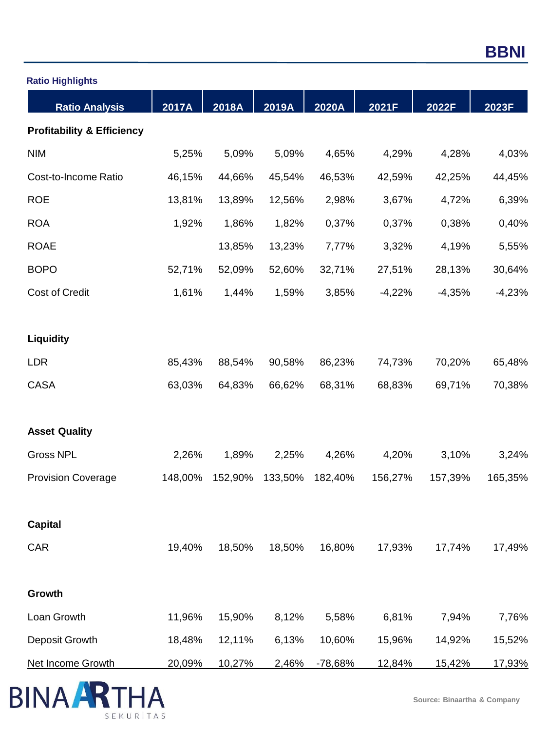| <b>Ratio Highlights</b>               |         |         |         |           |          |          |          |
|---------------------------------------|---------|---------|---------|-----------|----------|----------|----------|
| <b>Ratio Analysis</b>                 | 2017A   | 2018A   | 2019A   | 2020A     | 2021F    | 2022F    | 2023F    |
| <b>Profitability &amp; Efficiency</b> |         |         |         |           |          |          |          |
| <b>NIM</b>                            | 5,25%   | 5,09%   | 5,09%   | 4,65%     | 4,29%    | 4,28%    | 4,03%    |
| Cost-to-Income Ratio                  | 46,15%  | 44,66%  | 45,54%  | 46,53%    | 42,59%   | 42,25%   | 44,45%   |
| <b>ROE</b>                            | 13,81%  | 13,89%  | 12,56%  | 2,98%     | 3,67%    | 4,72%    | 6,39%    |
| <b>ROA</b>                            | 1,92%   | 1,86%   | 1,82%   | 0,37%     | 0,37%    | 0,38%    | 0,40%    |
| <b>ROAE</b>                           |         | 13,85%  | 13,23%  | 7,77%     | 3,32%    | 4,19%    | 5,55%    |
| <b>BOPO</b>                           | 52,71%  | 52,09%  | 52,60%  | 32,71%    | 27,51%   | 28,13%   | 30,64%   |
| <b>Cost of Credit</b>                 | 1,61%   | 1,44%   | 1,59%   | 3,85%     | $-4,22%$ | $-4,35%$ | $-4,23%$ |
| <b>Liquidity</b>                      |         |         |         |           |          |          |          |
| <b>LDR</b>                            | 85,43%  | 88,54%  | 90,58%  | 86,23%    | 74,73%   | 70,20%   | 65,48%   |
| <b>CASA</b>                           | 63,03%  | 64,83%  | 66,62%  | 68,31%    | 68,83%   | 69,71%   | 70,38%   |
| <b>Asset Quality</b>                  |         |         |         |           |          |          |          |
| <b>Gross NPL</b>                      | 2,26%   | 1,89%   | 2,25%   | 4,26%     | 4,20%    | 3,10%    | 3,24%    |
| <b>Provision Coverage</b>             | 148,00% | 152,90% | 133,50% | 182,40%   | 156,27%  | 157,39%  | 165,35%  |
| <b>Capital</b>                        |         |         |         |           |          |          |          |
| CAR                                   | 19,40%  | 18,50%  | 18,50%  | 16,80%    | 17,93%   | 17,74%   | 17,49%   |
| Growth                                |         |         |         |           |          |          |          |
| Loan Growth                           | 11,96%  | 15,90%  | 8,12%   | 5,58%     | 6,81%    | 7,94%    | 7,76%    |
| Deposit Growth                        | 18,48%  | 12,11%  | 6,13%   | 10,60%    | 15,96%   | 14,92%   | 15,52%   |
| Net Income Growth                     | 20,09%  | 10,27%  | 2,46%   | $-78,68%$ | 12,84%   | 15,42%   | 17,93%   |

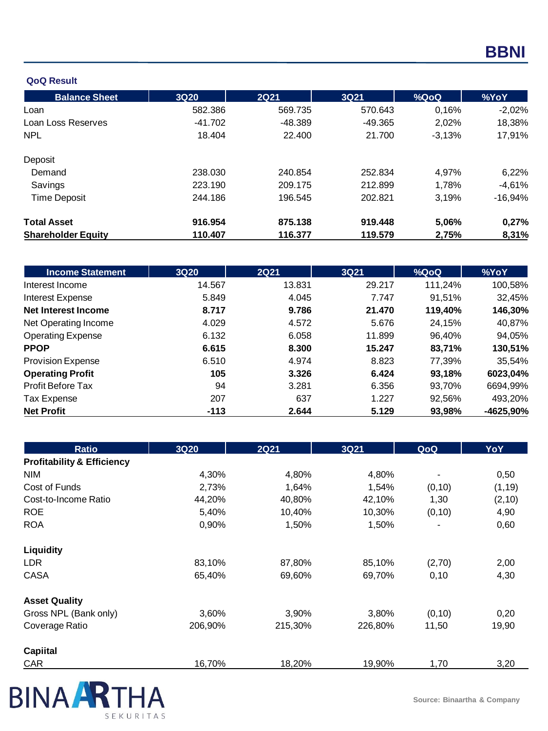#### **QoQ Result**

| <b>Balance Sheet</b>      | <b>3Q20</b> | <b>2Q21</b> | <b>3Q21</b> | %QoQ     | %YoY      |
|---------------------------|-------------|-------------|-------------|----------|-----------|
| Loan                      | 582.386     | 569.735     | 570.643     | 0,16%    | $-2,02%$  |
| Loan Loss Reserves        | $-41.702$   | -48.389     | $-49.365$   | 2,02%    | 18,38%    |
| <b>NPL</b>                | 18.404      | 22.400      | 21.700      | $-3,13%$ | 17,91%    |
| Deposit                   |             |             |             |          |           |
| Demand                    | 238.030     | 240.854     | 252.834     | 4,97%    | 6,22%     |
| Savings                   | 223.190     | 209.175     | 212.899     | 1,78%    | $-4,61%$  |
| <b>Time Deposit</b>       | 244.186     | 196.545     | 202.821     | 3,19%    | $-16,94%$ |
| <b>Total Asset</b>        | 916.954     | 875.138     | 919.448     | 5,06%    | 0,27%     |
| <b>Shareholder Equity</b> | 110.407     | 116.377     | 119.579     | 2,75%    | 8,31%     |

| <b>Income Statement</b>    | <b>3Q20</b> | <b>2Q21</b> | 3Q21   | %QoQ    | %YoY      |
|----------------------------|-------------|-------------|--------|---------|-----------|
| Interest Income            | 14.567      | 13.831      | 29.217 | 111,24% | 100,58%   |
| Interest Expense           | 5.849       | 4.045       | 7.747  | 91,51%  | 32,45%    |
| <b>Net Interest Income</b> | 8.717       | 9.786       | 21.470 | 119,40% | 146,30%   |
| Net Operating Income       | 4.029       | 4.572       | 5.676  | 24,15%  | 40,87%    |
| <b>Operating Expense</b>   | 6.132       | 6.058       | 11.899 | 96.40%  | 94,05%    |
| <b>PPOP</b>                | 6.615       | 8.300       | 15.247 | 83,71%  | 130,51%   |
| <b>Provision Expense</b>   | 6.510       | 4.974       | 8.823  | 77,39%  | 35,54%    |
| <b>Operating Profit</b>    | 105         | 3.326       | 6.424  | 93,18%  | 6023,04%  |
| <b>Profit Before Tax</b>   | 94          | 3.281       | 6.356  | 93,70%  | 6694,99%  |
| Tax Expense                | 207         | 637         | 1.227  | 92,56%  | 493,20%   |
| <b>Net Profit</b>          | $-113$      | 2.644       | 5.129  | 93,98%  | -4625,90% |

| <b>Ratio</b>                          | <b>3Q20</b> | <b>2Q21</b> | 3Q21    | QoQ     | YoY     |
|---------------------------------------|-------------|-------------|---------|---------|---------|
| <b>Profitability &amp; Efficiency</b> |             |             |         |         |         |
| <b>NIM</b>                            | 4,30%       | 4,80%       | 4,80%   |         | 0,50    |
| Cost of Funds                         | 2,73%       | 1,64%       | 1,54%   | (0, 10) | (1, 19) |
| Cost-to-Income Ratio                  | 44,20%      | 40,80%      | 42,10%  | 1,30    | (2, 10) |
| <b>ROE</b>                            | 5,40%       | 10,40%      | 10,30%  | (0, 10) | 4,90    |
| <b>ROA</b>                            | 0,90%       | 1,50%       | 1,50%   |         | 0,60    |
| Liquidity                             |             |             |         |         |         |
| LDR.                                  | 83,10%      | 87,80%      | 85,10%  | (2,70)  | 2,00    |
| <b>CASA</b>                           | 65,40%      | 69,60%      | 69,70%  | 0,10    | 4,30    |
| <b>Asset Quality</b>                  |             |             |         |         |         |
| Gross NPL (Bank only)                 | 3,60%       | 3,90%       | 3,80%   | (0, 10) | 0,20    |
| Coverage Ratio                        | 206,90%     | 215,30%     | 226,80% | 11,50   | 19,90   |
| <b>Capiital</b>                       |             |             |         |         |         |
| <b>CAR</b>                            | 16,70%      | 18,20%      | 19,90%  | 1,70    | 3,20    |